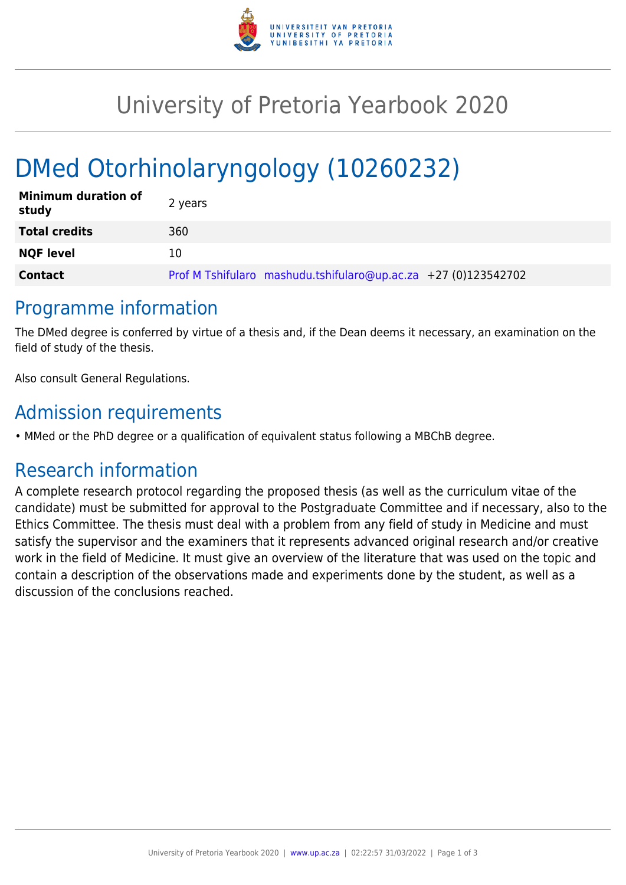

## University of Pretoria Yearbook 2020

# DMed Otorhinolaryngology (10260232)

| <b>Minimum duration of</b><br>study | 2 years                                                        |
|-------------------------------------|----------------------------------------------------------------|
| <b>Total credits</b>                | 360                                                            |
| <b>NQF level</b>                    | 10                                                             |
| <b>Contact</b>                      | Prof M Tshifularo mashudu.tshifularo@up.ac.za +27 (0)123542702 |

### Programme information

The DMed degree is conferred by virtue of a thesis and, if the Dean deems it necessary, an examination on the field of study of the thesis.

Also consult General Regulations.

## Admission requirements

• MMed or the PhD degree or a qualification of equivalent status following a MBChB degree.

## Research information

A complete research protocol regarding the proposed thesis (as well as the curriculum vitae of the candidate) must be submitted for approval to the Postgraduate Committee and if necessary, also to the Ethics Committee. The thesis must deal with a problem from any field of study in Medicine and must satisfy the supervisor and the examiners that it represents advanced original research and/or creative work in the field of Medicine. It must give an overview of the literature that was used on the topic and contain a description of the observations made and experiments done by the student, as well as a discussion of the conclusions reached.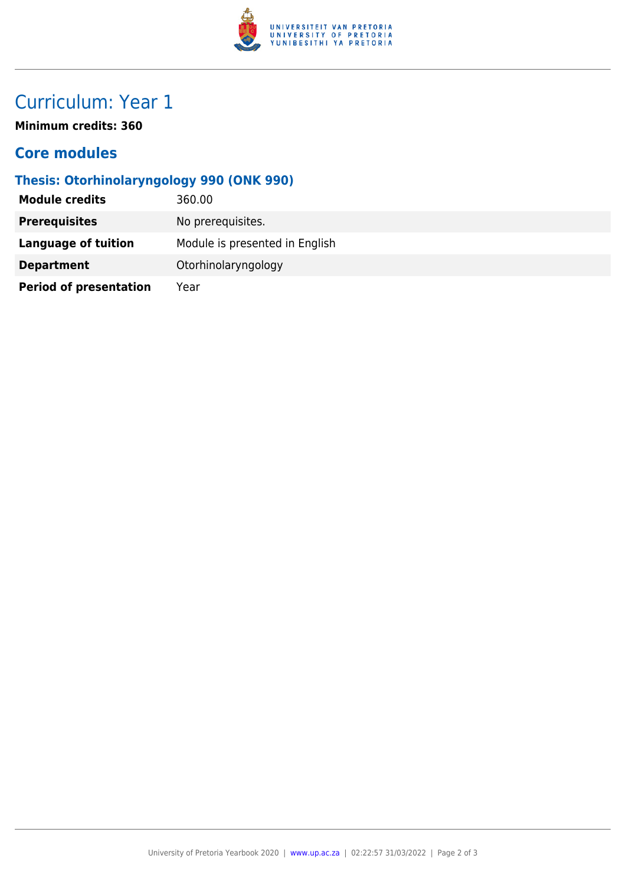

## Curriculum: Year 1

**Minimum credits: 360**

#### **Core modules**

#### **Thesis: Otorhinolaryngology 990 (ONK 990)**

| <b>Module credits</b>         | 360.00                         |
|-------------------------------|--------------------------------|
| <b>Prerequisites</b>          | No prerequisites.              |
| Language of tuition           | Module is presented in English |
| <b>Department</b>             | Otorhinolaryngology            |
| <b>Period of presentation</b> | Year                           |